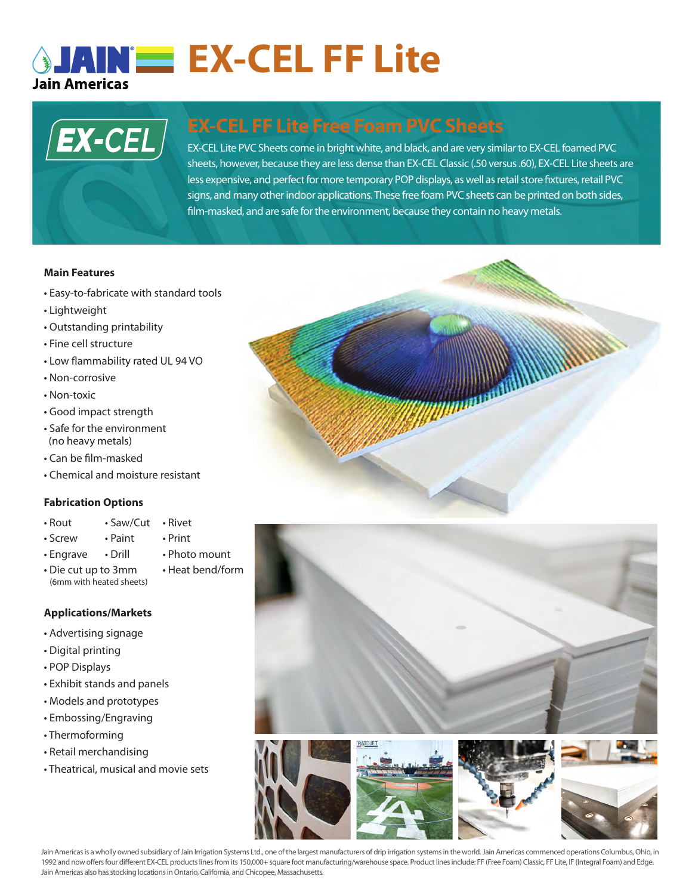# **SJAINE EX-CEL FF Lite Jain Americas**



# **EX-CEL FF Lite Free Foam PVC Sheets**

signs, and many other indoor applications. These free foam PVC sheets can be printed on both sides, EX-CEL Lite PVC Sheets come in bright white, and black, and are very similar to EX-CEL foamed PVC sheets, however, because they are less dense than EX-CEL Classic (.50 versus .60), EX-CEL Lite sheets are less expensive, and perfect for more temporary POP displays, as well as retail store fixtures, retail PVC film-masked, and are safe for the environment, because they contain no heavy metals.

### **Main Features**

- Easy-to-fabricate with standard tools
- Lightweight
- Outstanding printability
- Fine cell structure
- Low flammability rated UL 94 VO
- Non-corrosive
- Non-toxic
- Good impact strength
- Safe for the environment (no heavy metals)
- Can be film-masked
- Chemical and moisture resistant

### **Fabrication Options**

- Rout Saw/Cut Rivet
	-
- Screw Paint Print
	-
- Engrave Drill Photo mount
	-

## **Applications/Markets**

- Advertising signage
- Digital printing
- POP Displays
- Exhibit stands and panels
- Models and prototypes
- Embossing/Engraving
- Thermoforming
- Retail merchandising
- Theatrical, musical and movie sets







Jain Americas is a wholly owned subsidiary of Jain Irrigation Systems Ltd., one of the largest manufacturers of drip irrigation systems in the world. Jain Americas commenced operations Columbus, Ohio, in 1992 and now offers four different EX-CEL products lines from its 150,000+ square foot manufacturing/warehouse space. Product lines include: FF (Free Foam) Classic, FF Lite, IF (Integral Foam) and Edge. Jain Americas also has stocking locations in Ontario, California, and Chicopee, Massachusetts.

• Die cut up to 3mm • Heat bend/form (6mm with heated sheets)